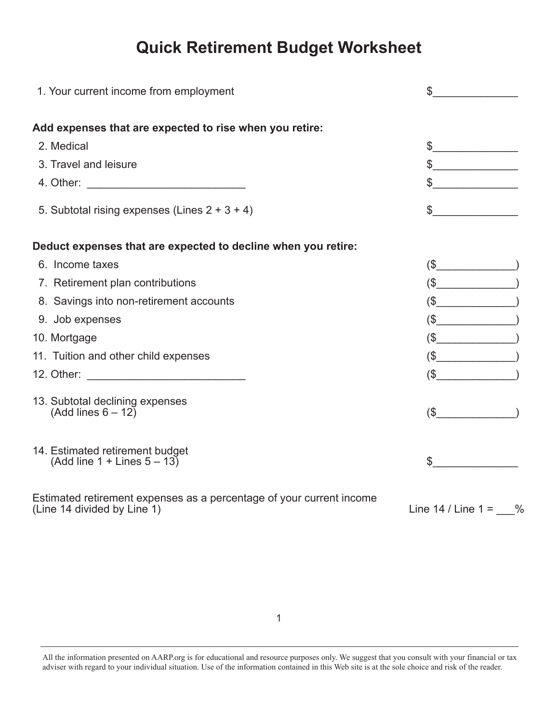## **Quick Retirement Budget Worksheet**

| 1. Your current income from employment                                                              | $\mathfrak{S}$<br><u> 1999 - Jan Barbara III, martx</u> |
|-----------------------------------------------------------------------------------------------------|---------------------------------------------------------|
| Add expenses that are expected to rise when you retire:                                             |                                                         |
| 2. Medical                                                                                          | $\frac{1}{2}$                                           |
| 3. Travel and leisure                                                                               | $\frac{1}{2}$                                           |
|                                                                                                     | $\frac{1}{2}$                                           |
| 5. Subtotal rising expenses (Lines $2 + 3 + 4$ )                                                    | $\frac{1}{2}$                                           |
| Deduct expenses that are expected to decline when you retire:                                       |                                                         |
| 6. Income taxes                                                                                     | $(\$\$                                                  |
| 7. Retirement plan contributions                                                                    | $(\$$                                                   |
| 8. Savings into non-retirement accounts                                                             | $$\fbox{2--}$                                           |
| 9. Job expenses                                                                                     | $(\mathsf{S}\_\_)\qquad\qquad)$                         |
| 10. Mortgage                                                                                        | $$\fbox{2--}$                                           |
| 11. Tuition and other child expenses                                                                | $(\text{\$}\_\_)\label{eq:3}$                           |
|                                                                                                     | $\sqrt{\$}$                                             |
| 13. Subtotal declining expenses<br>(Add lines $6 - 12$ )                                            | $(\$$                                                   |
| 14. Estimated retirement budget<br>$(Add line 1 + Lines 5 - 13)$                                    | $\sim$                                                  |
| Estimated retirement expenses as a percentage of your current income<br>(Line 14 divided by Line 1) | Line $14 /$ Line $1 = %$                                |

All the information presented on AARP.org is for educational and resource purposes only. We suggest that you consult with your financial or tax adviser with regard to your individual situation. Use of the information contained in this Web site is at the sole choice and risk of the reader.